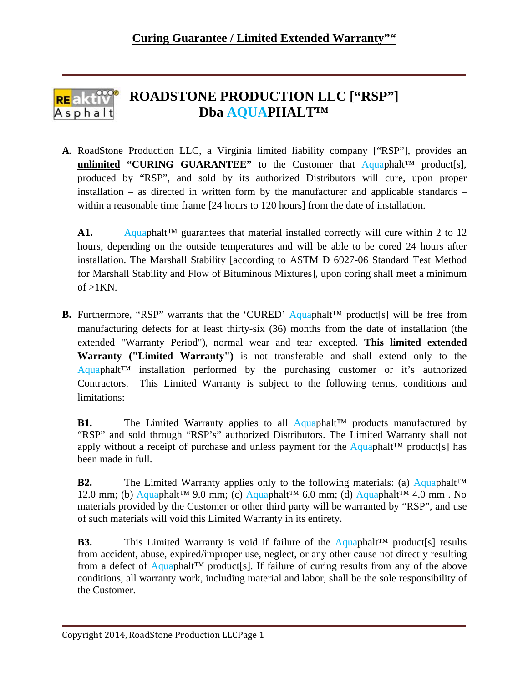## **ROADSTONE PRODUCTION LLC ["RSP"] Dba AQUAPHALT™** Asphalt

**A.** RoadStone Production LLC, a Virginia limited liability company ["RSP"], provides an **unlimited "CURING GUARANTEE"** to the Customer that  $\text{Aquaphalt}^{\text{TM}}$  product[s], produced by "RSP", and sold by its authorized Distributors will cure, upon proper installation – as directed in written form by the manufacturer and applicable standards – within a reasonable time frame [24 hours to 120 hours] from the date of installation.

A1. Aquaphalt<sup>™</sup> guarantees that material installed correctly will cure within 2 to 12 hours, depending on the outside temperatures and will be able to be cored 24 hours after installation. The Marshall Stability [according to ASTM D 6927-06 Standard Test Method for Marshall Stability and Flow of Bituminous Mixtures], upon coring shall meet a minimum of  $>1$ KN.

**B.** Furthermore, "RSP" warrants that the 'CURED' Aquaphalt<sup>™</sup> product[s] will be free from manufacturing defects for at least thirty-six (36) months from the date of installation (the extended "Warranty Period"), normal wear and tear excepted. **This limited extended Warranty ("Limited Warranty")** is not transferable and shall extend only to the Aquaphalt™ installation performed by the purchasing customer or it's authorized Contractors. This Limited Warranty is subject to the following terms, conditions and limitations:

**B1.** The Limited Warranty applies to all Aquaphalt™ products manufactured by "RSP" and sold through "RSP's" authorized Distributors. The Limited Warranty shall not apply without a receipt of purchase and unless payment for the Aquaphalt<sup>™</sup> product[s] has been made in full.

**B2.** The Limited Warranty applies only to the following materials: (a) Aquaphalt™ 12.0 mm; (b) Aquaphalt<sup>™</sup> 9.0 mm; (c) Aquaphalt™ 6.0 mm; (d) Aquaphalt™ 4.0 mm . No materials provided by the Customer or other third party will be warranted by "RSP", and use of such materials will void this Limited Warranty in its entirety.

**B3.** This Limited Warranty is void if failure of the Aquaphalt™ product[s] results from accident, abuse, expired/improper use, neglect, or any other cause not directly resulting from a defect of Aquaphalt<sup>™</sup> product[s]. If failure of curing results from any of the above conditions, all warranty work, including material and labor, shall be the sole responsibility of the Customer.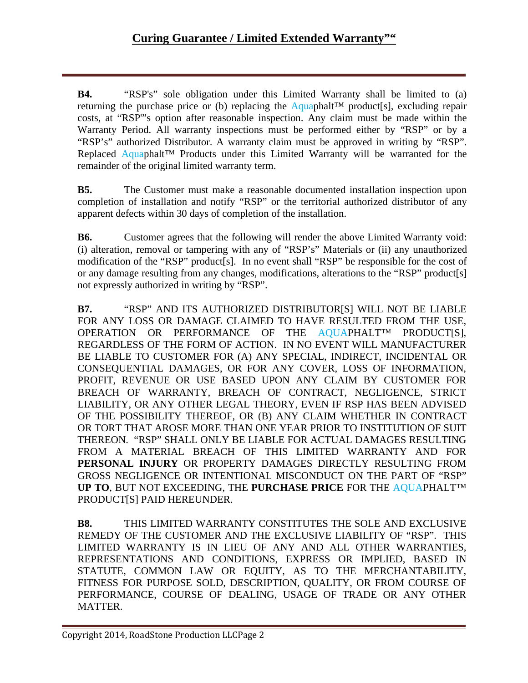**B4.** "RSP's" sole obligation under this Limited Warranty shall be limited to (a) returning the purchase price or (b) replacing the Aquaphalt<sup>™</sup> product[s], excluding repair costs, at "RSP'"s option after reasonable inspection. Any claim must be made within the Warranty Period. All warranty inspections must be performed either by "RSP" or by a "RSP's" authorized Distributor. A warranty claim must be approved in writing by "RSP". Replaced Aquaphalt™ Products under this Limited Warranty will be warranted for the remainder of the original limited warranty term.

**B5.** The Customer must make a reasonable documented installation inspection upon completion of installation and notify "RSP" or the territorial authorized distributor of any apparent defects within 30 days of completion of the installation.

**B6.** Customer agrees that the following will render the above Limited Warranty void: (i) alteration, removal or tampering with any of "RSP's" Materials or (ii) any unauthorized modification of the "RSP" product[s]. In no event shall "RSP" be responsible for the cost of or any damage resulting from any changes, modifications, alterations to the "RSP" product[s] not expressly authorized in writing by "RSP".

**B7.** "RSP" AND ITS AUTHORIZED DISTRIBUTOR[S] WILL NOT BE LIABLE FOR ANY LOSS OR DAMAGE CLAIMED TO HAVE RESULTED FROM THE USE, OPERATION OR PERFORMANCE OF THE AOUAPHALT<sup>IM</sup> PRODUCTISI, REGARDLESS OF THE FORM OF ACTION. IN NO EVENT WILL MANUFACTURER BE LIABLE TO CUSTOMER FOR (A) ANY SPECIAL, INDIRECT, INCIDENTAL OR CONSEQUENTIAL DAMAGES, OR FOR ANY COVER, LOSS OF INFORMATION, PROFIT, REVENUE OR USE BASED UPON ANY CLAIM BY CUSTOMER FOR BREACH OF WARRANTY, BREACH OF CONTRACT, NEGLIGENCE, STRICT LIABILITY, OR ANY OTHER LEGAL THEORY, EVEN IF RSP HAS BEEN ADVISED OF THE POSSIBILITY THEREOF, OR (B) ANY CLAIM WHETHER IN CONTRACT OR TORT THAT AROSE MORE THAN ONE YEAR PRIOR TO INSTITUTION OF SUIT THEREON. "RSP" SHALL ONLY BE LIABLE FOR ACTUAL DAMAGES RESULTING FROM A MATERIAL BREACH OF THIS LIMITED WARRANTY AND FOR **PERSONAL INJURY** OR PROPERTY DAMAGES DIRECTLY RESULTING FROM GROSS NEGLIGENCE OR INTENTIONAL MISCONDUCT ON THE PART OF "RSP" **UP TO**, BUT NOT EXCEEDING, THE **PURCHASE PRICE** FOR THE AQUAPHALT™ PRODUCT[S] PAID HEREUNDER.

**B8.** THIS LIMITED WARRANTY CONSTITUTES THE SOLE AND EXCLUSIVE REMEDY OF THE CUSTOMER AND THE EXCLUSIVE LIABILITY OF "RSP". THIS LIMITED WARRANTY IS IN LIEU OF ANY AND ALL OTHER WARRANTIES, REPRESENTATIONS AND CONDITIONS, EXPRESS OR IMPLIED, BASED IN STATUTE, COMMON LAW OR EQUITY, AS TO THE MERCHANTABILITY, FITNESS FOR PURPOSE SOLD, DESCRIPTION, QUALITY, OR FROM COURSE OF PERFORMANCE, COURSE OF DEALING, USAGE OF TRADE OR ANY OTHER MATTER.